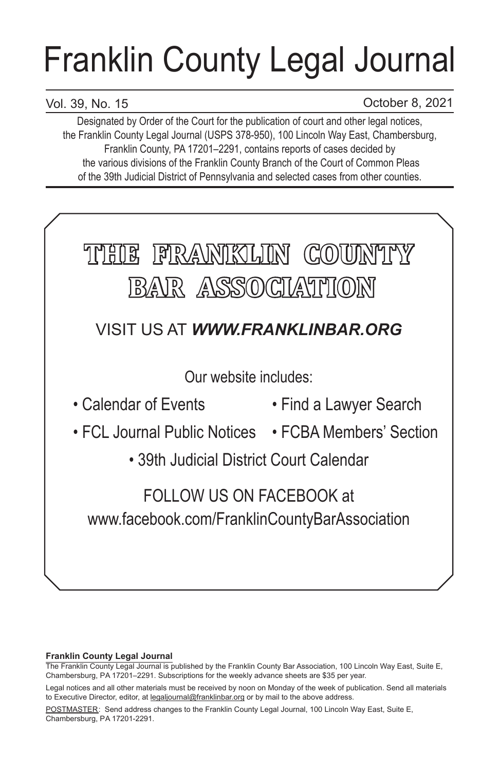# Franklin County Legal Journal

# Vol. 39, No. 15

October 8, 2021

Designated by Order of the Court for the publication of court and other legal notices, the Franklin County Legal Journal (USPS 378-950), 100 Lincoln Way East, Chambersburg, Franklin County, PA 17201–2291, contains reports of cases decided by the various divisions of the Franklin County Branch of the Court of Common Pleas of the 39th Judicial District of Pennsylvania and selected cases from other counties.



## **Franklin County Legal Journal**

The Franklin County Legal Journal is published by the Franklin County Bar Association, 100 Lincoln Way East, Suite E, Chambersburg, PA 17201–2291. Subscriptions for the weekly advance sheets are \$35 per year.

POSTMASTER: Send address changes to the Franklin County Legal Journal, 100 Lincoln Way East, Suite E, Chambersburg, PA 17201-2291.

Legal notices and all other materials must be received by noon on Monday of the week of publication. Send all materials to Executive Director, editor, at legaljournal@franklinbar.org or by mail to the above address.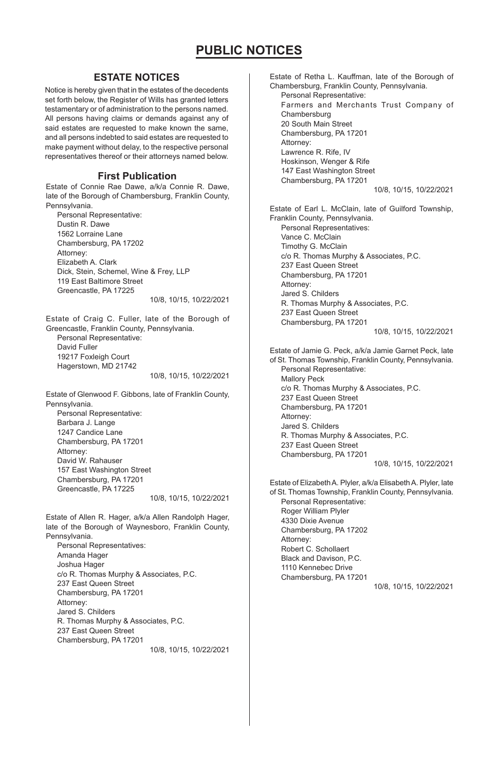## **ESTATE NOTICES**

Notice is hereby given that in the estates of the decedents set forth below, the Register of Wills has granted letters testamentary or of administration to the persons named. All persons having claims or demands against any of said estates are requested to make known the same, and all persons indebted to said estates are requested to make payment without delay, to the respective personal representatives thereof or their attorneys named below.

#### **First Publication**

Estate of Connie Rae Dawe, a/k/a Connie R. Dawe, late of the Borough of Chambersburg, Franklin County, Pennsylvania.

Personal Representative: Dustin R. Dawe 1562 Lorraine Lane Chambersburg, PA 17202 Attorney: Elizabeth A. Clark Dick, Stein, Schemel, Wine & Frey, LLP 119 East Baltimore Street Greencastle, PA 17225 10/8, 10/15, 10/22/2021

Estate of Craig C. Fuller, late of the Borough of Greencastle, Franklin County, Pennsylvania. Personal Representative: David Fuller 19217 Foxleigh Court Hagerstown, MD 21742

10/8, 10/15, 10/22/2021

Estate of Glenwood F. Gibbons, late of Franklin County, Pennsylvania. Personal Representative:

Barbara J. Lange 1247 Candice Lane Chambersburg, PA 17201 Attorney: David W. Rahauser 157 East Washington Street Chambersburg, PA 17201 Greencastle, PA 17225

10/8, 10/15, 10/22/2021

Estate of Allen R. Hager, a/k/a Allen Randolph Hager, late of the Borough of Waynesboro, Franklin County, Pennsylvania. Personal Representatives: Amanda Hager Joshua Hager c/o R. Thomas Murphy & Associates, P.C. 237 East Queen Street Chambersburg, PA 17201

Attorney: Jared S. Childers R. Thomas Murphy & Associates, P.C. 237 East Queen Street Chambersburg, PA 17201

10/8, 10/15, 10/22/2021

Estate of Retha L. Kauffman, late of the Borough of Chambersburg, Franklin County, Pennsylvania. Personal Representative: Farmers and Merchants Trust Company of Chambersburg 20 South Main Street Chambersburg, PA 17201 Attorney: Lawrence R. Rife, IV Hoskinson, Wenger & Rife 147 East Washington Street Chambersburg, PA 17201 10/8, 10/15, 10/22/2021 Estate of Earl L. McClain, late of Guilford Township, Franklin County, Pennsylvania. Personal Representatives: Vance C. McClain Timothy G. McClain c/o R. Thomas Murphy & Associates, P.C. 237 East Queen Street Chambersburg, PA 17201 Attorney: Jared S. Childers R. Thomas Murphy & Associates, P.C. 237 East Queen Street Chambersburg, PA 17201 10/8, 10/15, 10/22/2021 Estate of Jamie G. Peck, a/k/a Jamie Garnet Peck, late of St. Thomas Township, Franklin County, Pennsylvania. Personal Representative: Mallory Peck c/o R. Thomas Murphy & Associates, P.C. 237 East Queen Street Chambersburg, PA 17201 Attorney: Jared S. Childers R. Thomas Murphy & Associates, P.C. 237 East Queen Street Chambersburg, PA 17201 10/8, 10/15, 10/22/2021 Estate of Elizabeth A. Plyler, a/k/a Elisabeth A. Plyler, late of St. Thomas Township, Franklin County, Pennsylvania. Personal Representative: Roger William Plyler 4330 Dixie Avenue Chambersburg, PA 17202 Attorney: Robert C. Schollaert

Black and Davison, P.C. 1110 Kennebec Drive Chambersburg, PA 17201

10/8, 10/15, 10/22/2021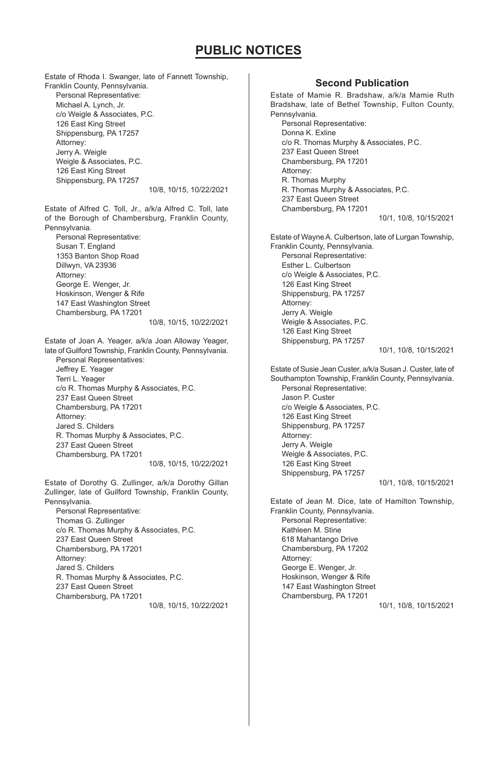Estate of Rhoda I. Swanger, late of Fannett Township, Franklin County, Pennsylvania. Personal Representative: Michael A. Lynch, Jr. c/o Weigle & Associates, P.C. 126 East King Street Shippensburg, PA 17257 Attorney: Jerry A. Weigle Weigle & Associates, P.C. 126 East King Street Shippensburg, PA 17257 10/8, 10/15, 10/22/2021 Estate of Alfred C. Toll, Jr., a/k/a Alfred C. Toll, late of the Borough of Chambersburg, Franklin County, Pennsylvania. Personal Representative: Susan T. England 1353 Banton Shop Road Dillwyn, VA 23936 Attorney: George E. Wenger, Jr. Hoskinson, Wenger & Rife 147 East Washington Street Chambersburg, PA 17201 10/8, 10/15, 10/22/2021 Estate of Joan A. Yeager, a/k/a Joan Alloway Yeager, late of Guilford Township, Franklin County, Pennsylvania. Personal Representatives: Jeffrey E. Yeager Terri L. Yeager c/o R. Thomas Murphy & Associates, P.C. 237 East Queen Street Chambersburg, PA 17201 Attorney: Jared S. Childers R. Thomas Murphy & Associates, P.C. 237 East Queen Street Chambersburg, PA 17201 10/8, 10/15, 10/22/2021 Estate of Dorothy G. Zullinger, a/k/a Dorothy Gillan Zullinger, late of Guilford Township, Franklin County, Pennsylvania. Personal Representative: Thomas G. Zullinger c/o R. Thomas Murphy & Associates, P.C. 237 East Queen Street Chambersburg, PA 17201 Attorney: Jared S. Childers R. Thomas Murphy & Associates, P.C. 237 East Queen Street Chambersburg, PA 17201 10/8, 10/15, 10/22/2021

## **Second Publication**

Estate of Mamie R. Bradshaw, a/k/a Mamie Ruth Bradshaw, late of Bethel Township, Fulton County, Pennsylvania. Personal Representative: Donna K. Exline c/o R. Thomas Murphy & Associates, P.C. 237 East Queen Street Chambersburg, PA 17201 Attorney: R. Thomas Murphy R. Thomas Murphy & Associates, P.C. 237 East Queen Street Chambersburg, PA 17201 10/1, 10/8, 10/15/2021 Estate of Wayne A. Culbertson, late of Lurgan Township, Franklin County, Pennsylvania. Personal Representative: Esther L. Culbertson c/o Weigle & Associates, P.C. 126 East King Street Shippensburg, PA 17257 Attorney: Jerry A. Weigle Weigle & Associates, P.C. 126 East King Street Shippensburg, PA 17257 10/1, 10/8, 10/15/2021 Estate of Susie Jean Custer, a/k/a Susan J. Custer, late of Southampton Township, Franklin County, Pennsylvania. Personal Representative: Jason P. Custer c/o Weigle & Associates, P.C. 126 East King Street Shippensburg, PA 17257 Attorney: Jerry A. Weigle Weigle & Associates, P.C. 126 East King Street Shippensburg, PA 17257 10/1, 10/8, 10/15/2021 Estate of Jean M. Dice, late of Hamilton Township, Franklin County, Pennsylvania. Personal Representative: Kathleen M. Stine 618 Mahantango Drive Chambersburg, PA 17202 Attorney: George E. Wenger, Jr. Hoskinson, Wenger & Rife 147 East Washington Street Chambersburg, PA 17201 10/1, 10/8, 10/15/2021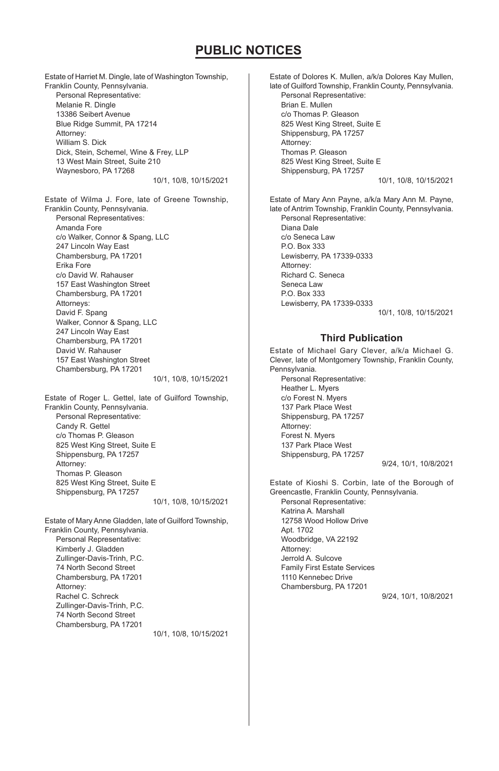Estate of Harriet M. Dingle, late of Washington Township, Franklin County, Pennsylvania. Personal Representative: Melanie R. Dingle 13386 Seibert Avenue Blue Ridge Summit, PA 17214 Attorney: William S. Dick Dick, Stein, Schemel, Wine & Frey, LLP 13 West Main Street, Suite 210 Waynesboro, PA 17268 10/1, 10/8, 10/15/2021 Estate of Wilma J. Fore, late of Greene Township, Franklin County, Pennsylvania. Personal Representatives: Amanda Fore c/o Walker, Connor & Spang, LLC 247 Lincoln Way East Chambersburg, PA 17201 Erika Fore c/o David W. Rahauser 157 East Washington Street Chambersburg, PA 17201 Attorneys: David F. Spang Walker, Connor & Spang, LLC 247 Lincoln Way East Chambersburg, PA 17201 David W. Rahauser 157 East Washington Street Chambersburg, PA 17201 10/1, 10/8, 10/15/2021 Estate of Roger L. Gettel, late of Guilford Township, Franklin County, Pennsylvania. Personal Representative: Candy R. Gettel

c/o Thomas P. Gleason 825 West King Street, Suite E Shippensburg, PA 17257 Attorney: Thomas P. Gleason 825 West King Street, Suite E Shippensburg, PA 17257 10/1, 10/8, 10/15/2021

Estate of Mary Anne Gladden, late of Guilford Township, Franklin County, Pennsylvania. Personal Representative: Kimberly J. Gladden Zullinger-Davis-Trinh, P.C. 74 North Second Street Chambersburg, PA 17201 Attorney: Rachel C. Schreck Zullinger-Davis-Trinh, P.C. 74 North Second Street Chambersburg, PA 17201

10/1, 10/8, 10/15/2021

Estate of Dolores K. Mullen, a/k/a Dolores Kay Mullen, late of Guilford Township, Franklin County, Pennsylvania. Personal Representative: Brian E. Mullen c/o Thomas P. Gleason 825 West King Street, Suite E Shippensburg, PA 17257 Attorney: Thomas P. Gleason 825 West King Street, Suite E Shippensburg, PA 17257 10/1, 10/8, 10/15/2021 Estate of Mary Ann Payne, a/k/a Mary Ann M. Payne, late of Antrim Township, Franklin County, Pennsylvania. Personal Representative: Diana Dale c/o Seneca Law P.O. Box 333 Lewisberry, PA 17339-0333 Attorney: Richard C. Seneca Seneca Law P.O. Box 333 Lewisberry, PA 17339-0333 10/1, 10/8, 10/15/2021 **Third Publication**

#### Estate of Michael Gary Clever, a/k/a Michael G. Clever, late of Montgomery Township, Franklin County, Pennsylvania. Personal Representative: Heather L. Myers c/o Forest N. Myers 137 Park Place West Shippensburg, PA 17257 Attorney: Forest N. Myers 137 Park Place West Shippensburg, PA 17257

9/24, 10/1, 10/8/2021

Estate of Kioshi S. Corbin, late of the Borough of Greencastle, Franklin County, Pennsylvania. Personal Representative: Katrina A. Marshall 12758 Wood Hollow Drive Apt. 1702 Woodbridge, VA 22192 Attorney: Jerrold A. Sulcove Family First Estate Services 1110 Kennebec Drive Chambersburg, PA 17201 9/24, 10/1, 10/8/2021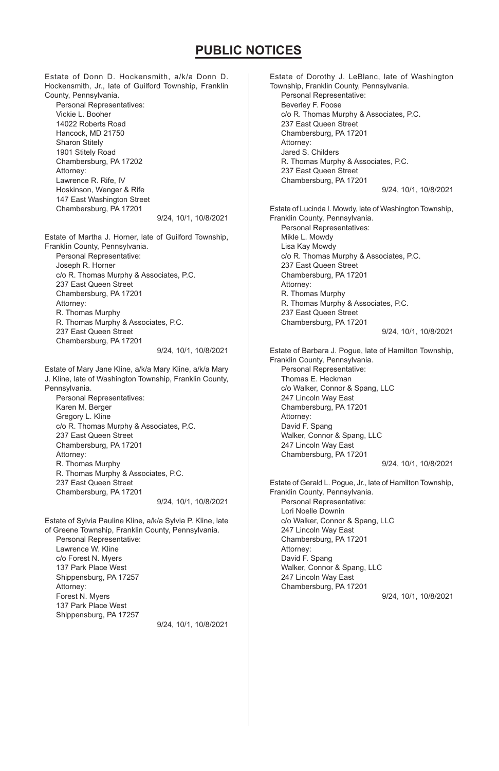Estate of Donn D. Hockensmith, a/k/a Donn D. Hockensmith, Jr., late of Guilford Township, Franklin County, Pennsylvania.

Personal Representatives: Vickie L. Booher 14022 Roberts Road Hancock, MD 21750 Sharon Stitely 1901 Stitely Road Chambersburg, PA 17202 Attorney: Lawrence R. Rife, IV Hoskinson, Wenger & Rife 147 East Washington Street Chambersburg, PA 17201

9/24, 10/1, 10/8/2021

Estate of Martha J. Horner, late of Guilford Township, Franklin County, Pennsylvania. Personal Representative: Joseph R. Horner c/o R. Thomas Murphy & Associates, P.C. 237 East Queen Street Chambersburg, PA 17201 Attorney: R. Thomas Murphy R. Thomas Murphy & Associates, P.C. 237 East Queen Street Chambersburg, PA 17201 9/24, 10/1, 10/8/2021

Estate of Mary Jane Kline, a/k/a Mary Kline, a/k/a Mary J. Kline, late of Washington Township, Franklin County, Pennsylvania.

Personal Representatives: Karen M. Berger Gregory L. Kline c/o R. Thomas Murphy & Associates, P.C. 237 East Queen Street Chambersburg, PA 17201 Attorney: R. Thomas Murphy R. Thomas Murphy & Associates, P.C. 237 East Queen Street Chambersburg, PA 17201 9/24, 10/1, 10/8/2021

Estate of Sylvia Pauline Kline, a/k/a Sylvia P. Kline, late of Greene Township, Franklin County, Pennsylvania. Personal Representative: Lawrence W. Kline c/o Forest N. Myers 137 Park Place West Shippensburg, PA 17257 Attorney: Forest N. Myers 137 Park Place West Shippensburg, PA 17257

9/24, 10/1, 10/8/2021

Estate of Dorothy J. LeBlanc, late of Washington Township, Franklin County, Pennsylvania. Personal Representative: Beverley F. Foose c/o R. Thomas Murphy & Associates, P.C. 237 East Queen Street Chambersburg, PA 17201 Attorney: Jared S. Childers R. Thomas Murphy & Associates, P.C. 237 East Queen Street Chambersburg, PA 17201 9/24, 10/1, 10/8/2021 Estate of Lucinda I. Mowdy, late of Washington Township, Franklin County, Pennsylvania. Personal Representatives: Mikle L. Mowdy Lisa Kay Mowdy c/o R. Thomas Murphy & Associates, P.C. 237 East Queen Street Chambersburg, PA 17201 Attorney: R. Thomas Murphy R. Thomas Murphy & Associates, P.C. 237 East Queen Street Chambersburg, PA 17201 9/24, 10/1, 10/8/2021 Estate of Barbara J. Pogue, late of Hamilton Township, Franklin County, Pennsylvania. Personal Representative: Thomas E. Heckman c/o Walker, Connor & Spang, LLC 247 Lincoln Way East Chambersburg, PA 17201 Attorney: David F. Spang Walker, Connor & Spang, LLC 247 Lincoln Way East Chambersburg, PA 17201 9/24, 10/1, 10/8/2021 Estate of Gerald L. Pogue, Jr., late of Hamilton Township, Franklin County, Pennsylvania. Personal Representative: Lori Noelle Downin c/o Walker, Connor & Spang, LLC 247 Lincoln Way East Chambersburg, PA 17201 Attorney: David F. Spang Walker, Connor & Spang, LLC 247 Lincoln Way East Chambersburg, PA 17201 9/24, 10/1, 10/8/2021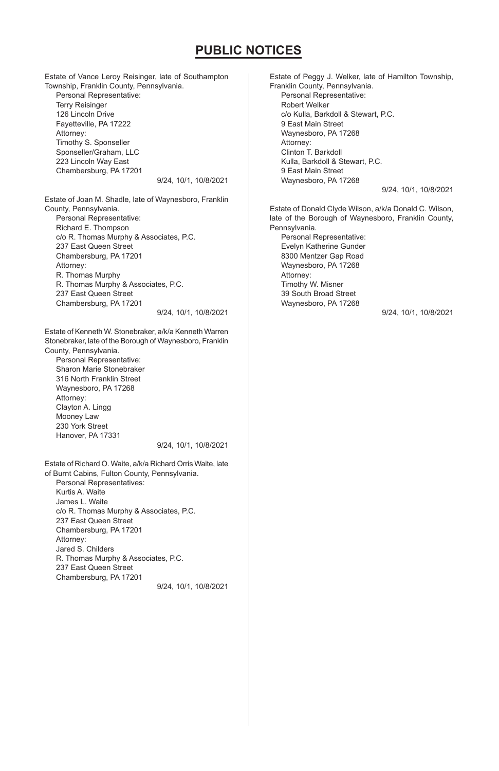Estate of Vance Leroy Reisinger, late of Southampton Township, Franklin County, Pennsylvania. Personal Representative: Terry Reisinger 126 Lincoln Drive Fayetteville, PA 17222 Attorney: Timothy S. Sponseller Sponseller/Graham, LLC 223 Lincoln Way East Chambersburg, PA 17201 9/24, 10/1, 10/8/2021

Estate of Joan M. Shadle, late of Waynesboro, Franklin County, Pennsylvania. Personal Representative: Richard E. Thompson c/o R. Thomas Murphy & Associates, P.C. 237 East Queen Street Chambersburg, PA 17201 Attorney: R. Thomas Murphy R. Thomas Murphy & Associates, P.C.

237 East Queen Street Chambersburg, PA 17201

9/24, 10/1, 10/8/2021

Estate of Kenneth W. Stonebraker, a/k/a Kenneth Warren Stonebraker, late of the Borough of Waynesboro, Franklin County, Pennsylvania.

Personal Representative: Sharon Marie Stonebraker 316 North Franklin Street Waynesboro, PA 17268 Attorney: Clayton A. Lingg Mooney Law 230 York Street Hanover, PA 17331

9/24, 10/1, 10/8/2021

Estate of Richard O. Waite, a/k/a Richard Orris Waite, late of Burnt Cabins, Fulton County, Pennsylvania. Personal Representatives: Kurtis A. Waite James L. Waite c/o R. Thomas Murphy & Associates, P.C. 237 East Queen Street Chambersburg, PA 17201 Attorney: Jared S. Childers R. Thomas Murphy & Associates, P.C. 237 East Queen Street Chambersburg, PA 17201 9/24, 10/1, 10/8/2021 Estate of Peggy J. Welker, late of Hamilton Township, Franklin County, Pennsylvania. Personal Representative: Robert Welker c/o Kulla, Barkdoll & Stewart, P.C. 9 East Main Street Waynesboro, PA 17268 Attorney: Clinton T. Barkdoll Kulla, Barkdoll & Stewart, P.C. 9 East Main Street Waynesboro, PA 17268 9/24, 10/1, 10/8/2021

Estate of Donald Clyde Wilson, a/k/a Donald C. Wilson, late of the Borough of Waynesboro, Franklin County, Pennsylvania.

Personal Representative: Evelyn Katherine Gunder 8300 Mentzer Gap Road Waynesboro, PA 17268 Attorney: Timothy W. Misner 39 South Broad Street Waynesboro, PA 17268

9/24, 10/1, 10/8/2021